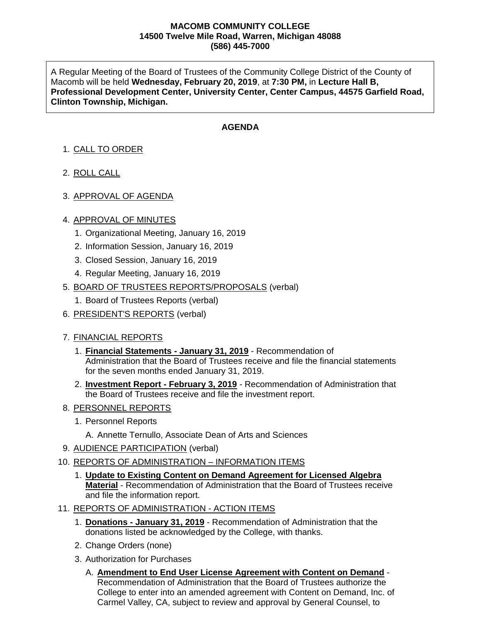#### **MACOMB COMMUNITY COLLEGE 14500 Twelve Mile Road, Warren, Michigan 48088 (586) 445-7000**

A Regular Meeting of the Board of Trustees of the Community College District of the County of Macomb will be held **Wednesday, February 20, 2019**, at **7:30 PM,** in **Lecture Hall B, Professional Development Center, University Center, Center Campus, 44575 Garfield Road, Clinton Township, Michigan.**

## **AGENDA**

# 1. CALL TO ORDER

- 2. ROLL CALL
- 3. APPROVAL OF AGENDA

### 4. APPROVAL OF MINUTES

- 1. Organizational Meeting, January 16, 2019
- 2. Information Session, January 16, 2019
- 3. Closed Session, January 16, 2019
- 4. Regular Meeting, January 16, 2019
- 5. BOARD OF TRUSTEES REPORTS/PROPOSALS (verbal)
	- 1. Board of Trustees Reports (verbal)
- 6. PRESIDENT'S REPORTS (verbal)

### 7. FINANCIAL REPORTS

- 1. **Financial Statements - January 31, 2019** Recommendation of Administration that the Board of Trustees receive and file the financial statements for the seven months ended January 31, 2019.
- 2. **Investment Report - February 3, 2019** Recommendation of Administration that the Board of Trustees receive and file the investment report.
- 8. PERSONNEL REPORTS
	- 1. Personnel Reports
		- A. Annette Ternullo, Associate Dean of Arts and Sciences
- 9. AUDIENCE PARTICIPATION (verbal)
- 10. REPORTS OF ADMINISTRATION INFORMATION ITEMS
	- 1. **Update to Existing Content on Demand Agreement for Licensed Algebra Material** - Recommendation of Administration that the Board of Trustees receive and file the information report.
- 11. REPORTS OF ADMINISTRATION ACTION ITEMS
	- 1. **Donations - January 31, 2019** Recommendation of Administration that the donations listed be acknowledged by the College, with thanks.
	- 2. Change Orders (none)
	- 3. Authorization for Purchases
		- A. **Amendment to End User License Agreement with Content on Demand** Recommendation of Administration that the Board of Trustees authorize the College to enter into an amended agreement with Content on Demand, Inc. of Carmel Valley, CA, subject to review and approval by General Counsel, to